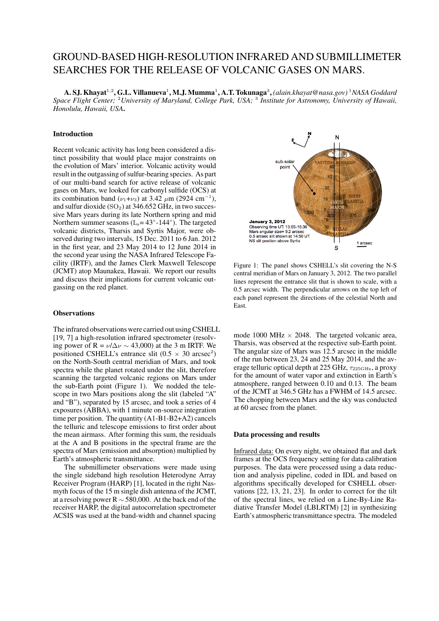# GROUND-BASED HIGH-RESOLUTION INFRARED AND SUBMILLIMETER SEARCHES FOR THE RELEASE OF VOLCANIC GASES ON MARS.

 $\bf A.\bf SI.$ Khayat<sup>1,2</sup>, G.L. Villanueva<sup>1</sup>, M.J. Mumma<sup>1</sup>, A.T. Tokunaga<sup>3</sup>, (alain.khayat@nasa.gov) <sup>1</sup>NASA Goddard *Space Flight Center;* <sup>2</sup>*University of Maryland, College Park, USA;* <sup>3</sup> *Institute for Astronomy, University of Hawaii, Honolulu, Hawaii, USA*.

## Introduction

Recent volcanic activity has long been considered a distinct possibility that would place major constraints on the evolution of Mars' interior. Volcanic activity would result in the outgassing of sulfur-bearing species. As part of our multi-band search for active release of volcanic gases on Mars, we looked for carbonyl sulfide (OCS) at its combination band ( $\nu_1 + \nu_3$ ) at 3.42  $\mu$ m (2924 cm<sup>-1</sup>), and sulfur dioxide  $(SO_2)$  at 346.652 GHz, in two successive Mars years during its late Northern spring and mid Northern summer seasons  $(L_s = 43^\circ - 144^\circ)$ . The targeted volcanic districts, Tharsis and Syrtis Major, were observed during two intervals, 15 Dec. 2011 to 6 Jan. 2012 in the first year, and 23 May 2014 to 12 June 2014 in the second year using the NASA Infrared Telescope Facility (IRTF), and the James Clerk Maxwell Telescope (JCMT) atop Maunakea, Hawaii. We report our results and discuss their implications for current volcanic outgassing on the red planet.

# **Observations**

The infrared observations were carried out using CSHELL [19, 7] a high-resolution infrared spectrometer (resolving power of R =  $\nu/\Delta \nu \sim 43,000$  at the 3 m IRTF. We positioned CSHELL's entrance slit ( $0.5 \times 30$  arcsec<sup>2</sup>) on the North-South central meridian of Mars, and took spectra while the planet rotated under the slit, therefore scanning the targeted volcanic regions on Mars under the sub-Earth point (Figure 1). We nodded the telescope in two Mars positions along the slit (labeled "A" and "B"), separated by 15 arcsec, and took a series of 4 exposures (ABBA), with 1 minute on-source integration time per position. The quantity (A1-B1-B2+A2) cancels the telluric and telescope emissions to first order about the mean airmass. After forming this sum, the residuals at the A and B positions in the spectral frame are the spectra of Mars (emission and absorption) multiplied by Earth's atmospheric transmittance.

The submillimeter observations were made using the single sideband high resolution Heterodyne Array Receiver Program (HARP) [1], located in the right Nasmyth focus of the 15 m single dish antenna of the JCMT, at a resolving power R ∼ 580,000. At the back end of the receiver HARP, the digital autocorrelation spectrometer ACSIS was used at the band-width and channel spacing



Figure 1: The panel shows CSHELL's slit covering the N-S central meridian of Mars on January 3, 2012. The two parallel lines represent the entrance slit that is shown to scale, with a 0.5 arcsec width. The perpendicular arrows on the top left of each panel represent the directions of the celestial North and East.

mode 1000 MHz  $\times$  2048. The targeted volcanic area, Tharsis, was observed at the respective sub-Earth point. The angular size of Mars was 12.5 arcsec in the middle of the run between 23, 24 and 25 May 2014, and the average telluric optical depth at 225 GHz,  $\tau_{225\text{GHz}}$ , a proxy for the amount of water vapor and extinction in Earth's atmosphere, ranged between 0.10 and 0.13. The beam of the JCMT at 346.5 GHz has a FWHM of 14.5 arcsec. The chopping between Mars and the sky was conducted at 60 arcsec from the planet.

#### Data processing and results

Infrared data: On every night, we obtained flat and dark frames at the OCS frequency setting for data calibration purposes. The data were processed using a data reduction and analysis pipeline, coded in IDL and based on algorithms specifically developed for CSHELL observations [22, 13, 21, 23]. In order to correct for the tilt of the spectral lines, we relied on a Line-By-Line Radiative Transfer Model (LBLRTM) [2] in synthesizing Earth's atmospheric transmittance spectra. The modeled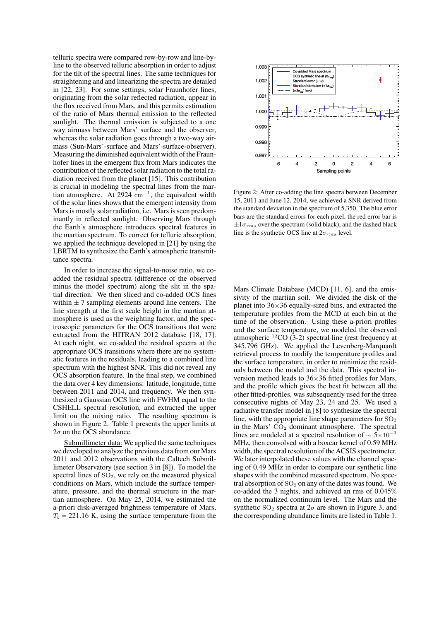telluric spectra were compared row-by-row and line-byline to the observed telluric absorption in order to adjust for the tilt of the spectral lines. The same techniques for straightening and and linearizing the spectra are detailed in [22, 23]. For some settings, solar Fraunhofer lines, originating from the solar reflected radiation, appear in the flux received from Mars, and this permits estimation of the ratio of Mars thermal emission to the reflected sunlight. The thermal emission is subjected to a one way airmass between Mars' surface and the observer, whereas the solar radiation goes through a two-way airmass (Sun-Mars'-surface and Mars'-surface-observer). Measuring the diminished equivalent width of the Fraunhofer lines in the emergent flux from Mars indicates the contribution of the reflected solar radiation to the total radiation received from the planet [15]. This contribution is crucial in modeling the spectral lines from the martian atmosphere. At 2924  $\text{cm}^{-1}$ , the equivalent width of the solar lines shows that the emergent intensity from Mars is mostly solar radiation, i.e. Mars is seen predominantly in reflected sunlight. Observing Mars through the Earth's atmosphere introduces spectral features in the martian spectrum. To correct for telluric absorption, we applied the technique developed in [21] by using the LBRTM to synthesize the Earth's atmospheric transmittance spectra.

In order to increase the signal-to-noise ratio, we coadded the residual spectra (difference of the observed minus the model spectrum) along the slit in the spatial direction. We then sliced and co-added OCS lines within  $\pm$  7 sampling elements around line centers. The line strength at the first scale height in the martian atmosphere is used as the weighting factor, and the spectroscopic parameters for the OCS transitions that were extracted from the HITRAN 2012 database [18, 17]. At each night, we co-added the residual spectra at the appropriate OCS transitions where there are no systematic features in the residuals, leading to a combined line spectrum with the highest SNR. This did not reveal any OCS absorption feature. In the final step, we combined the data over 4 key dimensions: latitude, longitude, time between 2011 and 2014, and frequency. We then synthesized a Gaussian OCS line with FWHM equal to the CSHELL spectral resolution, and extracted the upper limit on the mixing ratio. The resulting spectrum is shown in Figure 2. Table 1 presents the upper limits at  $2\sigma$  on the OCS abundance.

Submillimeter data: We applied the same techniques we developed to analyze the previous data from our Mars 2011 and 2012 observations with the Caltech Submillimeter Observatory (see section 3 in [8]). To model the spectral lines of  $SO<sub>2</sub>$ , we rely on the measured physical conditions on Mars, which include the surface temperature, pressure, and the thermal structure in the martian atmosphere. On May 25, 2014, we estimated the a-priori disk-averaged brightness temperature of Mars,  $T_b = 221.16$  K, using the surface temperature from the



Figure 2: After co-adding the line spectra between December 15, 2011 and June 12, 2014, we achieved a SNR derived from the standard deviation in the spectrum of 5,350. The blue error bars are the standard errors for each pixel, the red error bar is  $\pm 1\sigma_{rms}$  over the spectrum (solid black), and the dashed black line is the synthetic OCS line at  $2\sigma_{rms}$  level.

Mars Climate Database (MCD) [11, 6], and the emissivity of the martian soil. We divided the disk of the planet into  $36\times36$  equally-sized bins, and extracted the temperature profiles from the MCD at each bin at the time of the observation. Using these a-priori profiles and the surface temperature, we modeled the observed atmospheric  ${}^{12}$ CO (3-2) spectral line (rest frequency at 345.796 GHz). We applied the Levenberg-Marquardt retrieval process to modify the temperature profiles and the surface temperature, in order to minimize the residuals between the model and the data. This spectral inversion method leads to  $36\times36$  fitted profiles for Mars, and the profile which gives the best fit between all the other fitted-profiles, was subsequently used for the three consecutive nights of May 23, 24 and 25. We used a radiative transfer model in [8] to synthesize the spectral line, with the appropriate line shape parameters for  $SO<sub>2</sub>$ in the Mars'  $CO<sub>2</sub>$  dominant atmosphere. The spectral lines are modeled at a spectral resolution of  $\sim$  5×10<sup>-3</sup> MHz, then convolved with a boxcar kernel of 0.59 MHz width, the spectral resolution of the ACSIS spectrometer. We later interpolated these values with the channel spacing of 0.49 MHz in order to compare our synthetic line shapes with the combined measured spectrum. No spectral absorption of  $SO_2$  on any of the dates was found. We co-added the 3 nights, and achieved an rms of 0.045% on the normalized continuum level. The Mars and the synthetic SO<sub>2</sub> spectra at  $2\sigma$  are shown in Figure 3, and the corresponding abundance limits are listed in Table 1.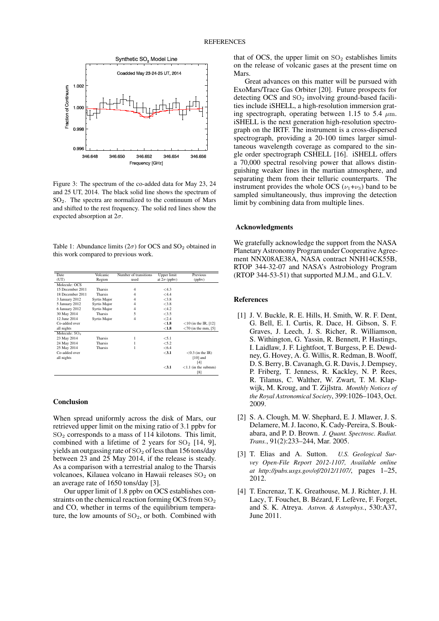

Figure 3: The spectrum of the co-added data for May 23, 24 and 25 UT, 2014. The black solid line shows the spectrum of SO2. The spectra are normalized to the continuum of Mars and shifted to the rest frequency. The solid red lines show the expected absorption at  $2\sigma$ .

Table 1: Abundance limits ( $2\sigma$ ) for OCS and SO<sub>2</sub> obtained in this work compared to previous work.

| Date                      | Volcanic       | Number of transitions | Upper limit         | Previous                |
|---------------------------|----------------|-----------------------|---------------------|-------------------------|
| (UT)                      | Region         | used                  | at $2\sigma$ (ppbv) | (ppbv)                  |
| Molecule: OCS             |                |                       |                     |                         |
| 15 December 2011          | Tharsis        | $\overline{4}$        | $<$ 4.3             |                         |
| 18 December 2011          | Tharsis        | $\overline{4}$        | $<$ 4.4             |                         |
| 3 January 2012            | Syrtis Major   | $\overline{4}$        | < 3.8               |                         |
| 5 January 2012            | Syrtis Major   | $\overline{4}$        | < 3.8               |                         |
| 6 January 2012            | Syrtis Major   | $\overline{4}$        | < 4.2               |                         |
| 30 May 2014               | Tharsis        | 5                     | < 3.5               |                         |
| 12 June 2014              | Syrtis Major   | 4                     | < 2.4               |                         |
| Co-added over             |                |                       | < 1.8               | $<$ 10 (in the IR, [12] |
| all nights                |                |                       | ${<}1.8$            | $<$ 70 (in the mm, [5]  |
| Molecule: SO <sub>2</sub> |                |                       |                     |                         |
| 23 May 2014               | <b>Tharsis</b> |                       | < 5.1               |                         |
| 24 May 2014               | Tharsis        |                       | < 5.2               |                         |
| 25 May 2014               | Tharsis        |                       | < 6.4               |                         |
| Co-added over             |                |                       | $3.1$               | $<$ 0.3 (in the IR)     |
| all nights                |                |                       |                     | $[10]$ and              |
|                           |                |                       |                     | [4]                     |
|                           |                |                       | $3.1$               | $< 1.1$ (in the submm)  |
|                           |                |                       |                     | [8]                     |

## Conclusion

When spread uniformly across the disk of Mars, our retrieved upper limit on the mixing ratio of 3.1 ppbv for  $SO<sub>2</sub>$  corresponds to a mass of 114 kilotons. This limit, combined with a lifetime of 2 years for  $SO<sub>2</sub>$  [14, 9], yields an outgassing rate of  $SO<sub>2</sub>$  of less than 156 tons/day between 23 and 25 May 2014, if the release is steady. As a comparison with a terrestrial analog to the Tharsis volcanoes, Kilauea volcano in Hawaii releases  $SO<sub>2</sub>$  on an average rate of 1650 tons/day [3].

Our upper limit of 1.8 ppbv on OCS establishes constraints on the chemical reaction forming OCS from  $SO_2$ and CO, whether in terms of the equilibrium temperature, the low amounts of  $SO<sub>2</sub>$ , or both. Combined with that of OCS, the upper limit on  $SO<sub>2</sub>$  establishes limits on the release of volcanic gases at the present time on **Mars**.

Great advances on this matter will be pursued with ExoMars/Trace Gas Orbiter [20]. Future prospects for detecting  $OCS$  and  $SO<sub>2</sub>$  involving ground-based facilities include iSHELL, a high-resolution immersion grating spectrograph, operating between 1.15 to 5.4  $\mu$ m. iSHELL is the next generation high-resolution spectrograph on the IRTF. The instrument is a cross-dispersed spectrograph, providing a 20-100 times larger simultaneous wavelength coverage as compared to the single order spectrograph CSHELL [16]. iSHELL offers a 70,000 spectral resolving power that allows distinguishing weaker lines in the martian atmosphere, and separating them from their telluric counterparts. The instrument provides the whole OCS  $(\nu_1+\nu_3)$  band to be sampled simultaneously, thus improving the detection limit by combining data from multiple lines.

#### Acknowledgments

We gratefully acknowledge the support from the NASA Planetary Astronomy Program under Cooperative Agreement NNX08AE38A, NASA contract NNH14CK55B, RTOP 344-32-07 and NASA's Astrobiology Program (RTOP 344-53-51) that supported M.J.M., and G.L.V.

#### References

- [1] J. V. Buckle, R. E. Hills, H. Smith, W. R. F. Dent, G. Bell, E. I. Curtis, R. Dace, H. Gibson, S. F. Graves, J. Leech, J. S. Richer, R. Williamson, S. Withington, G. Yassin, R. Bennett, P. Hastings, I. Laidlaw, J. F. Lightfoot, T. Burgess, P. E. Dewdney, G. Hovey, A. G. Willis, R. Redman, B. Wooff, D. S. Berry, B. Cavanagh, G. R. Davis, J. Dempsey, P. Friberg, T. Jenness, R. Kackley, N. P. Rees, R. Tilanus, C. Walther, W. Zwart, T. M. Klapwijk, M. Kroug, and T. Zijlstra. *Monthly Notices of the Royal Astronomical Society*, 399:1026–1043, Oct. 2009.
- [2] S. A. Clough, M. W. Shephard, E. J. Mlawer, J. S. Delamere, M. J. Iacono, K. Cady-Pereira, S. Boukabara, and P. D. Brown. *J. Quant. Spectrosc. Radiat. Trans.*, 91(2):233–244, Mar. 2005.
- [3] T. Elias and A. Sutton. *U.S. Geological Survey Open-File Report 2012-1107, Available online at http://pubs.usgs.gov/of/2012/1107/*, pages 1–25, 2012.
- [4] T. Encrenaz, T. K. Greathouse, M. J. Richter, J. H. Lacy, T. Fouchet, B. Bézard, F. Lefèvre, F. Forget, and S. K. Atreya. *Astron. & Astrophys.*, 530:A37, June 2011.